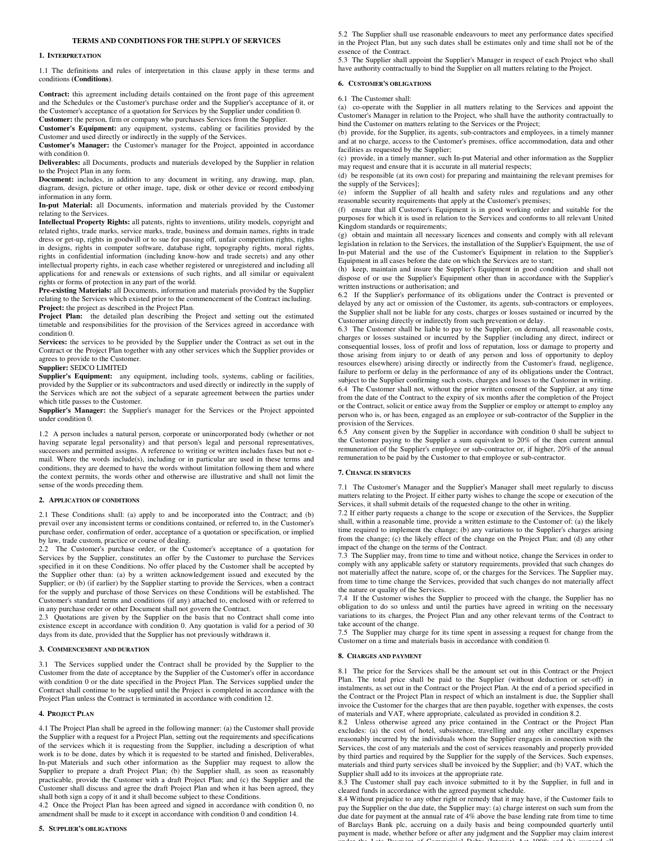## **TERMS AND CONDITIONS FOR THE SUPPLY OF SERVICES**

## **1. INTERPRETATION**

1.1 The definitions and rules of interpretation in this clause apply in these terms and conditions **(Conditions)**.

**Contract:** this agreement including details contained on the front page of this agreement and the Schedules or the Customer's purchase order and the Supplier's acceptance of it, or the Customer's acceptance of a quotation for Services by the Supplier under condition 0. **Customer:** the person, firm or company who purchases Services from the Supplier.

**Customer's Equipment:** any equipment, systems, cabling or facilities provided by the Customer and used directly or indirectly in the supply of the Services.

**Customer's Manager:** the Customer's manager for the Project, appointed in accordance with condition 0.

**Deliverables:** all Documents, products and materials developed by the Supplier in relation to the Project Plan in any form.

**Document:** includes, in addition to any document in writing, any drawing, map, plan, diagram, design, picture or other image, tape, disk or other device or record embodying information in any form.

**In-put Material:** all Documents, information and materials provided by the Customer relating to the Services.

**Intellectual Property Rights:** all patents, rights to inventions, utility models, copyright and related rights, trade marks, service marks, trade, business and domain names, rights in trade dress or get-up, rights in goodwill or to sue for passing off, unfair competition rights, rights in designs, rights in computer software, database right, topography rights, moral rights, rights in confidential information (including know-how and trade secrets) and any other intellectual property rights, in each case whether registered or unregistered and including all applications for and renewals or extensions of such rights, and all similar or equivalent rights or forms of protection in any part of the world.

**Pre-existing Materials:** all Documents, information and materials provided by the Supplier relating to the Services which existed prior to the commencement of the Contract including. **Project:** the project as described in the Project Plan.

**Project Plan:** the detailed plan describing the Project and setting out the estimated timetable and responsibilities for the provision of the Services agreed in accordance with condition 0.

**Services:** the services to be provided by the Supplier under the Contract as set out in the Contract or the Project Plan together with any other services which the Supplier provides or agrees to provide to the Customer.

## **Supplier:** SEDCO LIMITED

**Supplier's Equipment:** any equipment, including tools, systems, cabling or facilities, provided by the Supplier or its subcontractors and used directly or indirectly in the supply of the Services which are not the subject of a separate agreement between the parties under which title passes to the Customer.

**Supplier's Manager:** the Supplier's manager for the Services or the Project appointed under condition 0.

1.2 A person includes a natural person, corporate or unincorporated body (whether or not having separate legal personality) and that person's legal and personal representatives, successors and permitted assigns. A reference to writing or written includes faxes but not email. Where the words include(s), including or in particular are used in these terms and conditions, they are deemed to have the words without limitation following them and where the context permits, the words other and otherwise are illustrative and shall not limit the sense of the words preceding them.

## **2. APPLICATION OF CONDITIONS**

2.1 These Conditions shall: (a) apply to and be incorporated into the Contract; and (b) prevail over any inconsistent terms or conditions contained, or referred to, in the Customer's purchase order, confirmation of order, acceptance of a quotation or specification, or implied by law, trade custom, practice or course of dealing.

2.2 The Customer's purchase order, or the Customer's acceptance of a quotation for Services by the Supplier, constitutes an offer by the Customer to purchase the Services specified in it on these Conditions. No offer placed by the Customer shall be accepted by the Supplier other than: (a) by a written acknowledgement issued and executed by the Supplier; or (b) (if earlier) by the Supplier starting to provide the Services, when a contract for the supply and purchase of those Services on these Conditions will be established. The Customer's standard terms and conditions (if any) attached to, enclosed with or referred to in any purchase order or other Document shall not govern the Contract.

2.3 Quotations are given by the Supplier on the basis that no Contract shall come into existence except in accordance with condition 0. Any quotation is valid for a period of 30 days from its date, provided that the Supplier has not previously withdrawn it.

### **3. COMMENCEMENT AND DURATION**

3.1 The Services supplied under the Contract shall be provided by the Supplier to the Customer from the date of acceptance by the Supplier of the Customer's offer in accordance with condition 0 or the date specified in the Project Plan. The Services supplied under the Contract shall continue to be supplied until the Project is completed in accordance with the Project Plan unless the Contract is terminated in accordance with condition 12.

#### **4. PROJECT PLAN**

4.1 The Project Plan shall be agreed in the following manner: (a) the Customer shall provide the Supplier with a request for a Project Plan, setting out the requirements and specifications of the services which it is requesting from the Supplier, including a description of what work is to be done, dates by which it is requested to be started and finished, Deliverables, In-put Materials and such other information as the Supplier may request to allow the Supplier to prepare a draft Project Plan; (b) the Supplier shall, as soon as reasonably practicable, provide the Customer with a draft Project Plan; and (c) the Supplier and the Customer shall discuss and agree the draft Project Plan and when it has been agreed, they shall both sign a copy of it and it shall become subject to these Conditions.

4.2 Once the Project Plan has been agreed and signed in accordance with condition 0, no amendment shall be made to it except in accordance with condition 0 and condition 14.

### **5. SUPPLIER'S OBLIGATIONS**

5.2 The Supplier shall use reasonable endeavours to meet any performance dates specified in the Project Plan, but any such dates shall be estimates only and time shall not be of the essence of the Contract.

5.3 The Supplier shall appoint the Supplier's Manager in respect of each Project who shall have authority contractually to bind the Supplier on all matters relating to the Project.

### **6. CUSTOMER'S OBLIGATIONS**

6.1 The Customer shall:

(a) co-operate with the Supplier in all matters relating to the Services and appoint the Customer's Manager in relation to the Project, who shall have the authority contractually to bind the Customer on matters relating to the Services or the Project;

(b) provide, for the Supplier, its agents, sub-contractors and employees, in a timely manner and at no charge, access to the Customer's premises, office accommodation, data and other facilities as requested by the Supplier;

(c) provide, in a timely manner, such In-put Material and other information as the Supplier may request and ensure that it is accurate in all material respects;

(d) be responsible (at its own cost) for preparing and maintaining the relevant premises for the supply of the Services];

(e) inform the Supplier of all health and safety rules and regulations and any other reasonable security requirements that apply at the Customer's premises;

(f) ensure that all Customer's Equipment is in good working order and suitable for the purposes for which it is used in relation to the Services and conforms to all relevant United Kingdom standards or requirements;

(g) obtain and maintain all necessary licences and consents and comply with all relevant legislation in relation to the Services, the installation of the Supplier's Equipment, the use of In-put Material and the use of the Customer's Equipment in relation to the Supplier's Equipment in all cases before the date on which the Services are to start;

(h) keep, maintain and insure the Supplier's Equipment in good condition and shall not dispose of or use the Supplier's Equipment other than in accordance with the Supplier's written instructions or authorisation; and

6.2 If the Supplier's performance of its obligations under the Contract is prevented or delayed by any act or omission of the Customer, its agents, sub-contractors or employees, the Supplier shall not be liable for any costs, charges or losses sustained or incurred by the Customer arising directly or indirectly from such prevention or delay.

6.3 The Customer shall be liable to pay to the Supplier, on demand, all reasonable costs, charges or losses sustained or incurred by the Supplier (including any direct, indirect or consequential losses, loss of profit and loss of reputation, loss or damage to property and those arising from injury to or death of any person and loss of opportunity to deploy resources elsewhere) arising directly or indirectly from the Customer's fraud, negligence, failure to perform or delay in the performance of any of its obligations under the Contract, subject to the Supplier confirming such costs, charges and losses to the Customer in writing. 6.4 The Customer shall not, without the prior written consent of the Supplier, at any time from the date of the Contract to the expiry of six months after the completion of the Project or the Contract, solicit or entice away from the Supplier or employ or attempt to employ any person who is, or has been, engaged as an employee or sub-contractor of the Supplier in the provision of the Services.

6.5 Any consent given by the Supplier in accordance with condition 0 shall be subject to the Customer paying to the Supplier a sum equivalent to 20% of the then current annual remuneration of the Supplier's employee or sub-contractor or, if higher, 20% of the annual remuneration to be paid by the Customer to that employee or sub-contractor.

### **7. CHANGE IN SERVICES**

7.1 The Customer's Manager and the Supplier's Manager shall meet regularly to discuss matters relating to the Project. If either party wishes to change the scope or execution of the Services, it shall submit details of the requested change to the other in writing.

7.2 If either party requests a change to the scope or execution of the Services, the Supplier shall, within a reasonable time, provide a written estimate to the Customer of: (a) the likely time required to implement the change; (b) any variations to the Supplier's charges arising from the change; (c) the likely effect of the change on the Project Plan; and (d) any other impact of the change on the terms of the Contract.

7.3 The Supplier may, from time to time and without notice, change the Services in order to comply with any applicable safety or statutory requirements, provided that such changes do not materially affect the nature, scope of, or the charges for the Services. The Supplier may, from time to time change the Services, provided that such changes do not materially affect the nature or quality of the Services.

7.4 If the Customer wishes the Supplier to proceed with the change, the Supplier has no obligation to do so unless and until the parties have agreed in writing on the necessary variations to its charges, the Project Plan and any other relevant terms of the Contract to take account of the change.

7.5 The Supplier may charge for its time spent in assessing a request for change from the Customer on a time and materials basis in accordance with condition 0.

### **8. CHARGES AND PAYMENT**

8.1 The price for the Services shall be the amount set out in this Contract or the Project Plan. The total price shall be paid to the Supplier (without deduction or set-off) in instalments, as set out in the Contract or the Project Plan. At the end of a period specified in the Contract or the Project Plan in respect of which an instalment is due, the Supplier shall invoice the Customer for the charges that are then payable, together with expenses, the costs of materials and VAT, where appropriate, calculated as provided in condition 8.2.

8.2 Unless otherwise agreed any price contained in the Contract or the Project Plan excludes: (a) the cost of hotel, subsistence, travelling and any other ancillary expenses reasonably incurred by the individuals whom the Supplier engages in connection with the Services, the cost of any materials and the cost of services reasonably and properly provided by third parties and required by the Supplier for the supply of the Services. Such expenses, materials and third party services shall be invoiced by the Supplier; and (b) VAT, which the Supplier shall add to its invoices at the appropriate rate.

8.3 The Customer shall pay each invoice submitted to it by the Supplier, in full and in cleared funds in accordance with the agreed payment schedule.

8.4 Without prejudice to any other right or remedy that it may have, if the Customer fails to pay the Supplier on the due date, the Supplier may: (a) charge interest on such sum from the due date for payment at the annual rate of 4% above the base lending rate from time to time of Barclays Bank plc, accruing on a daily basis and being compounded quarterly until payment is made, whether before or after any judgment and the Supplier may claim interest under the Late Decomput of  $C_1$  mentered Debts  $(T_{i_1}, \ldots, T_{i_k})$  Act 1998; and  $d_1$ ) suspend all